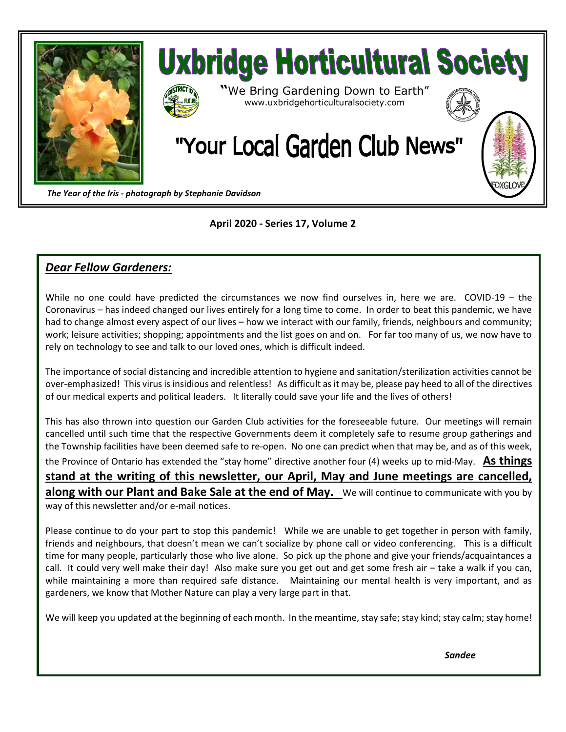



*The Year of the Iris - photograph by Stephanie Davidson*

#### **April 2020 - Series 17, Volume 2**

### *Dear Fellow Gardeners:*

While no one could have predicted the circumstances we now find ourselves in, here we are. COVID-19 – the Coronavirus – has indeed changed our lives entirely for a long time to come. In order to beat this pandemic, we have had to change almost every aspect of our lives – how we interact with our family, friends, neighbours and community; work; leisure activities; shopping; appointments and the list goes on and on. For far too many of us, we now have to rely on technology to see and talk to our loved ones, which is difficult indeed.

The importance of social distancing and incredible attention to hygiene and sanitation/sterilization activities cannot be over-emphasized! This virus is insidious and relentless! As difficult as it may be, please pay heed to all of the directives of our medical experts and political leaders. It literally could save your life and the lives of others!

This has also thrown into question our Garden Club activities for the foreseeable future. Our meetings will remain cancelled until such time that the respective Governments deem it completely safe to resume group gatherings and the Township facilities have been deemed safe to re-open. No one can predict when that may be, and as of this week, the Province of Ontario has extended the "stay home" directive another four (4) weeks up to mid-May. **As things stand at the writing of this newsletter, our April, May and June meetings are cancelled, along with our Plant and Bake Sale at the end of May.** We will continue to communicate with you by way of this newsletter and/or e-mail notices.

Please continue to do your part to stop this pandemic! While we are unable to get together in person with family, friends and neighbours, that doesn't mean we can't socialize by phone call or video conferencing. This is a difficult time for many people, particularly those who live alone. So pick up the phone and give your friends/acquaintances a call. It could very well make their day! Also make sure you get out and get some fresh air – take a walk if you can, while maintaining a more than required safe distance. Maintaining our mental health is very important, and as gardeners, we know that Mother Nature can play a very large part in that.

We will keep you updated at the beginning of each month. In the meantime, stay safe; stay kind; stay calm; stay home!

*Sandee*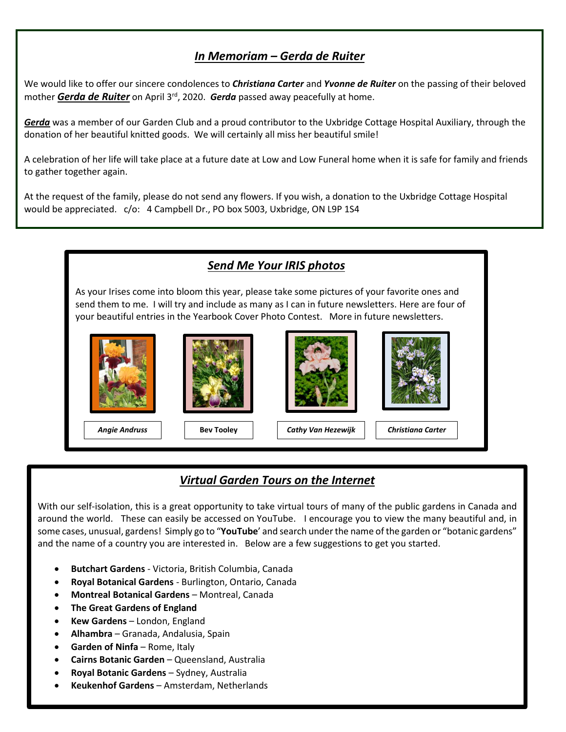# *In Memoriam – Gerda de Ruiter*

We would like to offer our sincere condolences to *Christiana Carter* and *Yvonne de Ruiter* on the passing of their beloved mother *Gerda de Ruiter* on April 3rd, 2020. *Gerda* passed away peacefully at home.

*Gerda* was a member of our Garden Club and a proud contributor to the Uxbridge Cottage Hospital Auxiliary, through the donation of her beautiful knitted goods. We will certainly all miss her beautiful smile!

A celebration of her life will take place at a future date at Low and Low Funeral home when it is safe for family and friends to gather together again.

At the request of the family, please do not send any flowers. If you wish, a donation to the Uxbridge Cottage Hospital would be appreciated. c/o: 4 Campbell Dr., PO box 5003, Uxbridge, ON L9P 1S4



# *Virtual Garden Tours on the Internet*

With our self-isolation, this is a great opportunity to take virtual tours of many of the public gardens in Canada and around the world. These can easily be accessed on YouTube. I encourage you to view the many beautiful and, in some cases, unusual, gardens! Simply go to "**YouTube**' and search under the name of the garden or "botanic gardens" and the name of a country you are interested in. Below are a few suggestions to get you started.

- **Butchart Gardens** Victoria, British Columbia, Canada
- **Royal Botanical Gardens** Burlington, Ontario, Canada
- **Montreal Botanical Gardens** Montreal, Canada
- **The Great Gardens of England**
- **Kew Gardens** London, England
- **Alhambra** Granada, Andalusia, Spain
- **Garden of Ninfa** Rome, Italy
- **Cairns Botanic Garden** Queensland, Australia
- **Royal Botanic Gardens** Sydney, Australia
- **Keukenhof Gardens** Amsterdam, Netherlands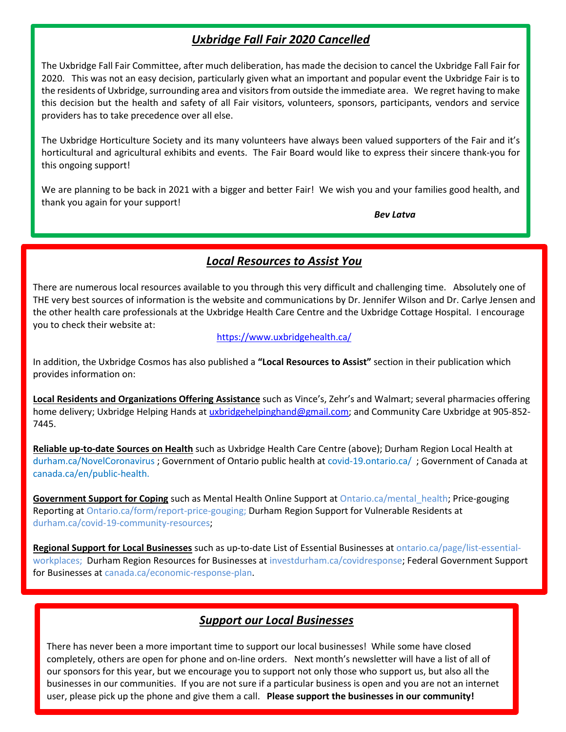# *Uxbridge Fall Fair 2020 Cancelled*

The Uxbridge Fall Fair Committee, after much deliberation, has made the decision to cancel the Uxbridge Fall Fair for 2020. This was not an easy decision, particularly given what an important and popular event the Uxbridge Fair is to the residents of Uxbridge, surrounding area and visitors from outside the immediate area. We regret having to make this decision but the health and safety of all Fair visitors, volunteers, sponsors, participants, vendors and service providers has to take precedence over all else.

The Uxbridge Horticulture Society and its many volunteers have always been valued supporters of the Fair and it's horticultural and agricultural exhibits and events. The Fair Board would like to express their sincere thank-you for this ongoing support!

We are planning to be back in 2021 with a bigger and better Fair! We wish you and your families good health, and thank you again for your support!

*Bev Latva*

#### *Local Resources to Assist You*

There are numerous local resources available to you through this very difficult and challenging time. Absolutely one of THE very best sources of information is the website and communications by Dr. Jennifer Wilson and Dr. Carlye Jensen and the other health care professionals at the Uxbridge Health Care Centre and the Uxbridge Cottage Hospital. I encourage you to check their website at:

#### <https://www.uxbridgehealth.ca/>

In addition, the Uxbridge Cosmos has also published a **"Local Resources to Assist"** section in their publication which provides information on:

**Local Residents and Organizations Offering Assistance** such as Vince's, Zehr's and Walmart; several pharmacies offering home delivery; Uxbridge Helping Hands at [uxbridgehelpinghand@gmail.com;](mailto:uxbridgehelpinghand@gmail.com) and Community Care Uxbridge at 905-852-7445.

**Reliable up-to-date Sources on Health** such as Uxbridge Health Care Centre (above); Durham Region Local Health at durham.ca/NovelCoronavirus ; Government of Ontario public health at covid-19.ontario.ca/ ; Government of Canada at canada.ca/en/public-health.

**Government Support for Coping** such as Mental Health Online Support at Ontario.ca/mental\_health; Price-gouging Reporting at Ontario.ca/form/report-price-gouging; Durham Region Support for Vulnerable Residents at durham.ca/covid-19-community-resources;

**Regional Support for Local Businesses** such as up-to-date List of Essential Businesses at ontario.ca/page/list-essentialworkplaces; Durham Region Resources for Businesses at investdurham.ca/covidresponse; Federal Government Support for Businesses at canada.ca/economic-response-plan.

### *Support our Local Businesses*

There has never been a more important time to support our local businesses! While some have closed completely, others are open for phone and on-line orders. Next month's newsletter will have a list of all of our sponsors for this year, but we encourage you to support not only those who support us, but also all the businesses in our communities. If you are not sure if a particular business is open and you are not an internet user, please pick up the phone and give them a call. **Please support the businesses in our community!**